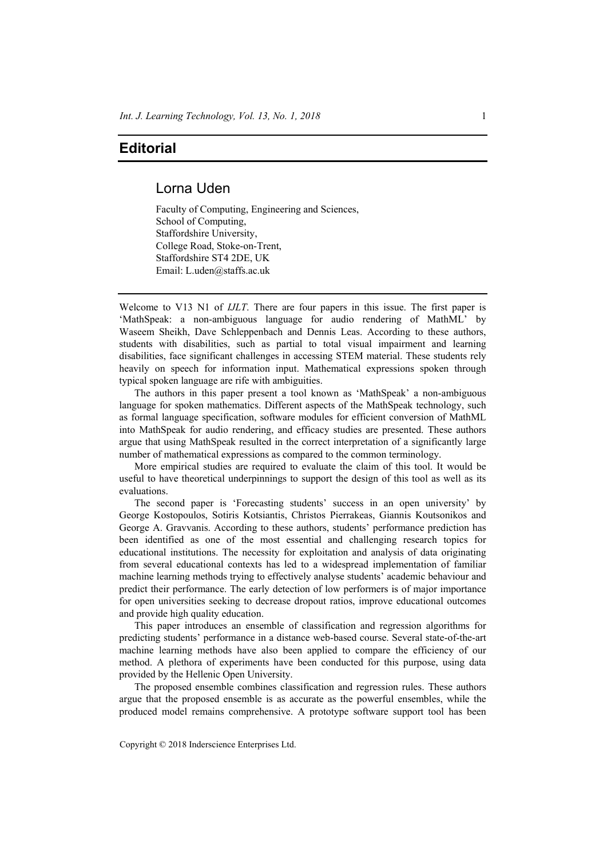## **Editorial**

## Lorna Uden

Faculty of Computing, Engineering and Sciences, School of Computing, Staffordshire University, College Road, Stoke-on-Trent, Staffordshire ST4 2DE, UK Email: L.uden@staffs.ac.uk

Welcome to V13 N1 of *IJLT*. There are four papers in this issue. The first paper is 'MathSpeak: a non-ambiguous language for audio rendering of MathML' by Waseem Sheikh, Dave Schleppenbach and Dennis Leas. According to these authors, students with disabilities, such as partial to total visual impairment and learning disabilities, face significant challenges in accessing STEM material. These students rely heavily on speech for information input. Mathematical expressions spoken through typical spoken language are rife with ambiguities.

The authors in this paper present a tool known as 'MathSpeak' a non-ambiguous language for spoken mathematics. Different aspects of the MathSpeak technology, such as formal language specification, software modules for efficient conversion of MathML into MathSpeak for audio rendering, and efficacy studies are presented. These authors argue that using MathSpeak resulted in the correct interpretation of a significantly large number of mathematical expressions as compared to the common terminology.

More empirical studies are required to evaluate the claim of this tool. It would be useful to have theoretical underpinnings to support the design of this tool as well as its evaluations.

The second paper is 'Forecasting students' success in an open university' by George Kostopoulos, Sotiris Kotsiantis, Christos Pierrakeas, Giannis Koutsonikos and George A. Gravvanis. According to these authors, students' performance prediction has been identified as one of the most essential and challenging research topics for educational institutions. The necessity for exploitation and analysis of data originating from several educational contexts has led to a widespread implementation of familiar machine learning methods trying to effectively analyse students' academic behaviour and predict their performance. The early detection of low performers is of major importance for open universities seeking to decrease dropout ratios, improve educational outcomes and provide high quality education.

This paper introduces an ensemble of classification and regression algorithms for predicting students' performance in a distance web-based course. Several state-of-the-art machine learning methods have also been applied to compare the efficiency of our method. A plethora of experiments have been conducted for this purpose, using data provided by the Hellenic Open University.

The proposed ensemble combines classification and regression rules. These authors argue that the proposed ensemble is as accurate as the powerful ensembles, while the produced model remains comprehensive. A prototype software support tool has been